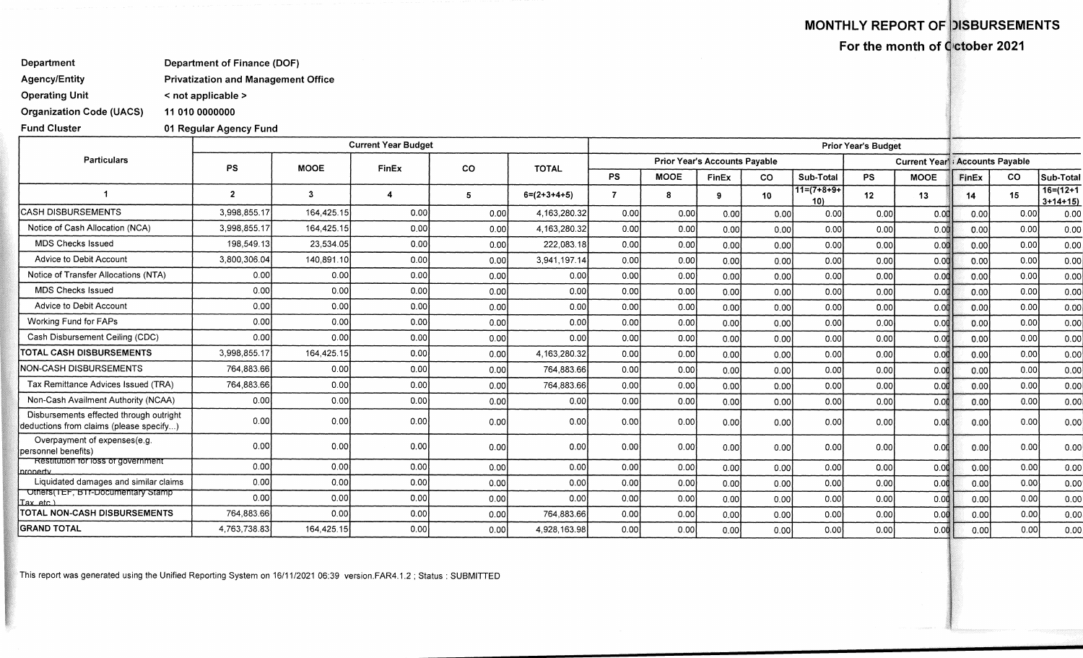## **MONTHLY REPORT OF )ISBURSEMENTS**

**For the month of Cictober 2021** 

## **Department Department of Finance (DOF)**

**Agency/Entity Privatization and Management Office** 

**Operating Unit < not applicable >** 

**Organization Code (UACS) 11 010 0000000** 

**Fund Cluster 01 Regular Agency Fund** 

|                                                                                    |                |             | <b>Current Year Budget</b> |           |                 |           |                                      |       |           |                      | <b>Prior Year's Budget</b> |             |                                                                                                                                                                     |      |                           |
|------------------------------------------------------------------------------------|----------------|-------------|----------------------------|-----------|-----------------|-----------|--------------------------------------|-------|-----------|----------------------|----------------------------|-------------|---------------------------------------------------------------------------------------------------------------------------------------------------------------------|------|---------------------------|
| <b>Particulars</b>                                                                 | <b>PS</b>      | <b>MOOE</b> | FinEx                      | <b>CO</b> | <b>TOTAL</b>    |           | <b>Prior Year's Accounts Payable</b> |       |           |                      |                            |             | <b>Current Year'l</b> Accounts Payable<br><b>CO</b>                                                                                                                 |      |                           |
|                                                                                    |                |             |                            |           |                 | <b>PS</b> | <b>MOOE</b>                          | FinEx | <b>CO</b> | Sub-Total            | <b>PS</b>                  | <b>MOOE</b> | FinEx<br>14<br>0.00<br>0.00<br>0.00<br>0.00<br>0.00<br>0.00<br>0.00<br>0.00<br>0.00<br>0.00<br>0.00<br>0.00<br>0.00<br>0.00<br>0.00<br>0.00<br>0.00<br>0.00<br>0.00 |      | Sub-Total                 |
|                                                                                    | $\overline{2}$ | 3           |                            | 5         | $6=(2+3+4+5)$   |           | -8                                   | 9     | 10        | $11=(7+8+9+)$<br>10) | 12                         | 13          |                                                                                                                                                                     | 15   | $16= (12+1)$<br>$3+14+15$ |
| <b>ICASH DISBURSEMENTS</b>                                                         | 3,998,855.17   | 164,425.15  | 0.00                       | 0.00      | 4,163,280.32    | 0.00      | 0.00                                 | 0.00  | 0.00      | 0.00                 | 0.00                       | 0.00        |                                                                                                                                                                     | 0.00 | 0.00                      |
| Notice of Cash Allocation (NCA)                                                    | 3.998.855.17   | 164,425.15  | 0.00                       | 0.00      | 4, 163, 280. 32 | 0.00      | 0.00                                 | 0.00  | 0.00      | 0.00                 | 0.00                       | 0.00        |                                                                                                                                                                     | 0.00 | 0.00                      |
| <b>MDS Checks Issued</b>                                                           | 198,549.13     | 23,534.05   | 0.00                       | 0.00      | 222.083.18      | 0.00      | 0.00                                 | 0.00  | 0.00      | 0.00                 | 0.00                       | 0.00        |                                                                                                                                                                     | 0.00 | 0.00                      |
| Advice to Debit Account                                                            | 3,800,306.04   | 140,891.10  | 0.00                       | 0.00      | 3,941,197.14    | 0.00      | 0.00                                 | 0.00  | 0.00      | 0.00                 | 0.00                       | 0.00        |                                                                                                                                                                     | 0.00 | 0.00                      |
| Notice of Transfer Allocations (NTA)                                               | 0.00           | 0.00        | 0.00                       | 0.00      | 0.00            | 0.00      | 0.00                                 | 0.00  | 0.00      | 0.00                 | 0.00                       | 0.00        |                                                                                                                                                                     | 0.00 | 0.00                      |
| <b>MDS Checks Issued</b>                                                           | 0.00           | 0.00        | 0.00                       | 0.00      | 0.00            | 0.00      | 0.00                                 | 0.00  | 0.00      | 0.00                 | 0.00                       | 0.00        |                                                                                                                                                                     | 0.00 | 0.00                      |
| Advice to Debit Account                                                            | 0.00           | 0.00        | 0.00                       | 0.00      | 0.00            | 0.00      | 0.00                                 | 0.00  | 0.00      | 0.00                 | 0.00                       | 0.00        |                                                                                                                                                                     | 0.00 | 0.00                      |
| Working Fund for FAPs                                                              | 0.00           | 0.00        | 0.00                       | 0.00      | 0.00            | 0.00      | 0.00                                 | 0.00  | 0.00      | 0.00                 | 0.00                       | 0.00        |                                                                                                                                                                     | 0.00 | 0.00                      |
| Cash Disbursement Ceiling (CDC)                                                    | 0.00           | 0.00        | 0.00                       | 0.00      | 0.00            | 0.00      | 0.00                                 | 0.00  | 0.00      | 0.00                 | 0.00                       | 0.00        |                                                                                                                                                                     | 0.00 | 0.00                      |
| <b>TOTAL CASH DISBURSEMENTS</b>                                                    | 3.998.855.17   | 164,425.15  | 0.00                       | 0.00      | 4, 163, 280. 32 | 0.00      | 0.00                                 | 0.00  | 0.00      | 0.00                 | 0.00                       | 0.00        |                                                                                                                                                                     | 0.00 | 0.00                      |
| NON-CASH DISBURSEMENTS                                                             | 764,883.66     | 0.00        | 0.00                       | 0.00      | 764,883.66      | 0.00      | 0.00                                 | 0.00  | 0.00      | 0.00                 | 0.00                       | 0.00        |                                                                                                                                                                     | 0.00 | 0.00                      |
| Tax Remittance Advices Issued (TRA)                                                | 764,883.66     | 0.00        | 0.00                       | 0.00      | 764.883.66      | 0.00      | 0.00                                 | 0.00  | 0.00      | 0.00                 | 0.00                       | 0.00        |                                                                                                                                                                     | 0.00 | 0.00                      |
| Non-Cash Availment Authority (NCAA)                                                | 0.00           | 0.00        | 0.00                       | 0.00      | 0.00            | 0.00      | 0.00                                 | 0.00  | 0.00      | 0.00                 | 0.00                       | 0.00        |                                                                                                                                                                     | 0.00 | 0.00                      |
| Disbursements effected through outright<br>deductions from claims (please specify) | 0.00           | 0.00        | 0.00                       | 0.00      | 0.00            | 0.00      | 0.00                                 | 0.00  | 0.00      | 0.00                 | 0.00                       | 0.00        |                                                                                                                                                                     | 0.00 | 0.00                      |
| Overpayment of expenses(e.g.<br>personnel benefits)                                | 0.00           | 0.00        | 0.00                       | 0.00      | 0.00            | 0.00      | 0.00                                 | 0.00  | 0.00      | 0.00                 | 0.00                       | 0.00        |                                                                                                                                                                     | 0.00 | 0.00                      |
| <b>Restitution for loss of government</b><br>property                              | 0.00           | 0.00        | 0.00                       | 0.00      | 0.00            | 0.00      | 0.00                                 | 0.00  | 0.00      | 0.00                 | 0.00                       | 0.00        |                                                                                                                                                                     | 0.00 | 0.00                      |
| Liquidated damages and similar claims                                              | 0,00           | 0.00        | 0.00                       | 0.00      | 0.00            | 0.00      | 0.00                                 | 0.00  | 0.00      | 0.00                 | 0.00                       | 0.00        |                                                                                                                                                                     | 0.00 | 0.00                      |
| Others (TEF, BTr-Documentary Stamp<br>Tax etc.)                                    | 0.00           | 0.00        | 0.00                       | 0.00      | 0.00            | 0.00      | 0.00                                 | 0.00  | 0.00      | 0.00                 | 0.00                       | 0.00        |                                                                                                                                                                     | 0.00 | 0.00                      |
| TOTAL NON-CASH DISBURSEMENTS                                                       | 764,883.66     | 0.00        | 0.00                       | 0.00      | 764.883.66      | 0.00      | 0.00                                 | 0.00  | 0.00      | 0.00                 | 0.00                       | 0.00        |                                                                                                                                                                     | 0.00 | 0.00                      |
| <b>GRAND TOTAL</b>                                                                 | 4,763,738.83   | 164,425.15  | 0.00                       | 0.00      | 4,928,163.98    | 0.00      | 0.00                                 | 0.00  | 0.00      | 0.00                 | 0.00                       | 0.00        | 0.00                                                                                                                                                                | 0.00 | 0.00                      |

This report was generated using the Unified Reporting System on 16/11/2021 06:39 version.FAR4.1.2 ; Status : SUBMITTED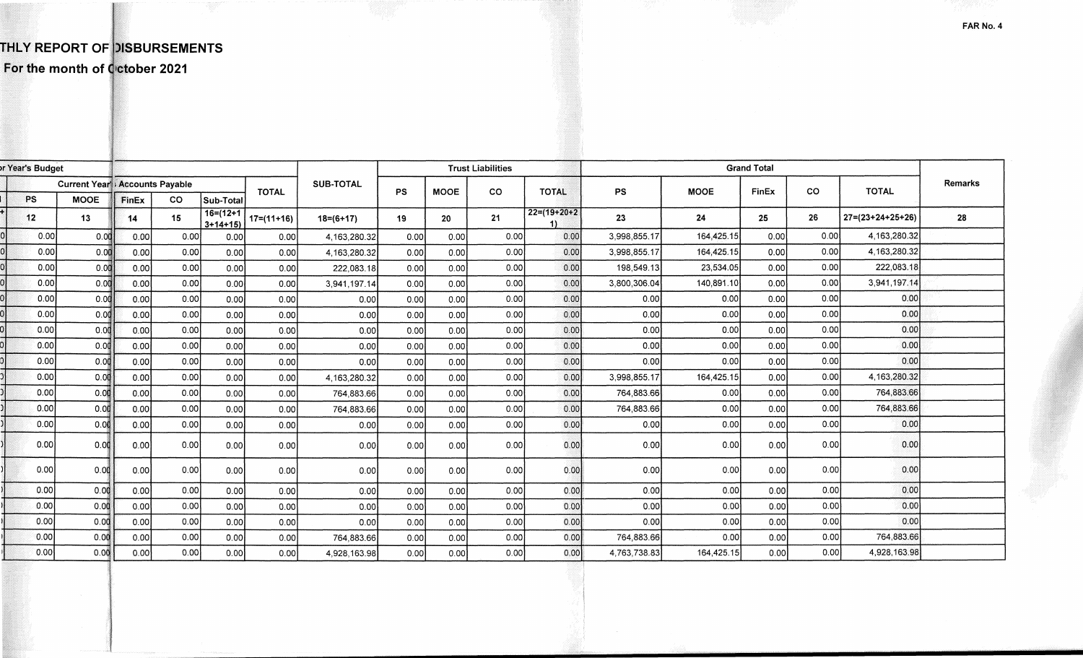## **THLY REPORT OF DISBURSEMENTS**

For the month of Cctober 2021

| Year's Budget |      |             |                                        |           |                              |                  |                 |             | <b>Trust Liabilities</b> |              | <b>Grand Total</b>   |              |            |           |              |                            |    |
|---------------|------|-------------|----------------------------------------|-----------|------------------------------|------------------|-----------------|-------------|--------------------------|--------------|----------------------|--------------|------------|-----------|--------------|----------------------------|----|
|               |      |             | <b>Current Year': Accounts Payable</b> |           | <b>TOTAL</b>                 | <b>SUB-TOTAL</b> | <b>PS</b>       | <b>MOOE</b> | CO                       | <b>TOTAL</b> | <b>PS</b>            | <b>MOOE</b>  | FinEx      | <b>CO</b> | <b>TOTAL</b> | Remarks                    |    |
|               | PS   | <b>MOOE</b> | FinEx                                  | <b>CO</b> | Sub-Total                    |                  |                 |             |                          |              |                      |              |            |           |              |                            |    |
|               | 12   | 13          | 14                                     | 15        | $16 = (12 + 1)$<br>$3+14+15$ | $17 = (11 + 16)$ | $18 = (6 + 17)$ | 19          | 20                       | 21           | $22=(19+20+2)$<br>11 | 23           | 24         | 25        | 26           | $27 = (23 + 24 + 25 + 26)$ | 28 |
|               | 0.00 | 0.00        | 0.00                                   | 0.00      | 0.00                         | 0.00             | 4,163,280.32    | 0.00        | 0.00                     | 0.00         | 0.00                 | 3,998,855.17 | 164,425.15 | 0.00      | 0.00         | 4,163,280.32               |    |
|               | 0.00 | 0.00        | 0.00                                   | 0.00      | 0.00                         | 0.00             | 4.163.280.32    | 0.00        | 0.00                     | 0.00         | 0.00                 | 3,998,855.17 | 164,425.15 | 0.00      | 0.00         | 4, 163, 280. 32            |    |
|               | 0.00 | 0.00        | 0.00                                   | 0.00      | 0.00                         | _0.00 <b>b</b>   | 222.083.18      | 0.00        | 0.00                     | 0.00         | 0.00                 | 198,549.13   | 23,534.05  | 0.00      | 0.00         | 222,083.18                 |    |
|               | 0.00 | 0.00        | 0.00                                   | 0.00      | 0.00                         | 0.00             | 3,941,197.14    | 0.00        | 0.00                     | 0.00         | 0.00                 | 3,800,306.04 | 140,891.10 | 0.00      | 0.00         | 3,941,197.14               |    |
|               | 0.00 | 0.00        | 0.00                                   | 0.00      | 0.00                         | 0.00             | 0.00            | 0.00        | 0.00                     | 0.00         | 0.00                 | 0.00         | 0.00       | 0.00      | 0.00         | 0.00                       |    |
|               | 0.00 | 0.00        | 0.00                                   | 0.00      | 0.00                         | 0.00             | 0.00            | 0.00        | 0.00                     | 0.00         | 0.00                 | 0.00         | 0.00       | 0.00      | 0.00         | 0.00                       |    |
|               | 0.00 | 0.00        | 0.00                                   | 0.00      | 0.00                         | 0.00             | 0.00            | 0.00        | 0.00                     | 0.00         | 0.00                 | 0.00         | 0.00       | 0.00      | 0.00         | 0.00                       |    |
|               | 0.00 | 0.00        | 0.00                                   | 0.00      | 0.00                         | 0.00             | 0.00            | 0.00        | 0.00                     | 0.00         | 0.00                 | 0.00         | 0.00       | 0.00      | 0.00         | 0.00                       |    |
|               | 0.00 | 0.00        | 0.00                                   | 0.00      | 0.00                         | 0.00             | 0.00            | 0.00        | 0.00                     | 0.00         | 0.00                 | 0.00         | 0.00       | 0.00      | 0.00         | 0.00                       |    |
|               | 0.00 | 0.00        | 0.00                                   | 0.00      | 0.00                         | 0.00             | 4,163,280.32    | 0.00        | 0.00                     | 0.00         | 0.00                 | 3,998,855.17 | 164,425.15 | 0.00      | 0.00         | 4,163,280.32               |    |
|               | 0.00 | 0.00        | 0.00                                   | 0.00      | 0.00                         | 0.00             | 764,883.66      | 0.00        | 0.00                     | 0.00         | 0.00                 | 764.883.66   | 0.00       | 0.00      | 0.00         | 764,883.66                 |    |
|               | 0.00 | 0.00        | 0.00                                   | 0.00      | 0.00                         | 0.00             | 764.883.66      | 0.00        | 0.00                     | 0.00         | 0.00                 | 764,883.66   | 0.00       | 0.00      | 0.00         | 764,883.66                 |    |
|               | 0.00 | 0.00        | 0.00                                   | 0.00      | 0.00                         | 0.00             | 0.00            | 0.00        | 0.00                     | 0.00         | 0.00                 | 0.00         | 0.00       | 0.00      | 0.00         | 0.00                       |    |
|               | 0.00 | 0.00        | 0.00                                   | 0.00      | 0.00                         | 0.00             | 0.00l           | 0.00        | 0.00                     | 0.00         | 0.00                 | 0.00         | 0.00       | 0.00      | 0.00         | 0.00                       |    |
|               | 0.00 | 0.00        | 0.00                                   | 0.001     | 0.00                         | 0.00             | 0.00            | 0.00        | 0.00                     | 0.00         | 0.00                 | 0.00         | 0.00       | 0.00      | 0.00         | 0.00                       |    |
|               | 0.00 | 0.00        | 0.00                                   | 0.00      | 0.00                         | 0.00             | 0.00            | 0.00        | 0.00                     | 0.00         | 0.00                 | 0.00         | 0.00       | 0.00      | 0.00         | 0.00                       |    |
|               | 0.00 | 0.00        | 0.00                                   | 0.00      | 0.00                         | 0.00             | 0.00            | 0.00        | 0.00                     | 0.00         | 0.00                 | 0.00         | 0.00       | 0.00      | 0.00         | 0.00                       |    |
|               | 0.00 | 0.00        | 0.00                                   | 0.00      | 0.00                         | 0.00             | 0.00            | 0.00        | 0.00                     | 0.00         | 0.00                 | 0.00         | 0.00       | 0.00      | 0.00         | 0.00                       |    |
|               | 0.00 | 0.00        | 0.00                                   | 0.00      | 0.00                         | 0.00             | 764,883.66      | 0.00        | 0.00                     | 0.00         | 0.00                 | 764,883.66   | 0.00       | 0.00      | 0.00         | 764.883.66                 |    |
|               | 0.00 | 0.00        | 0.00                                   | 0.00      | 0.00                         | 0.00             | 4.928.163.98    | 0.00        | 0.00                     | 0.00         | 0.00                 | 4,763,738.83 | 164,425.15 | 0.00      | 0.00         | 4,928,163.98               |    |

**FAR No. 4**